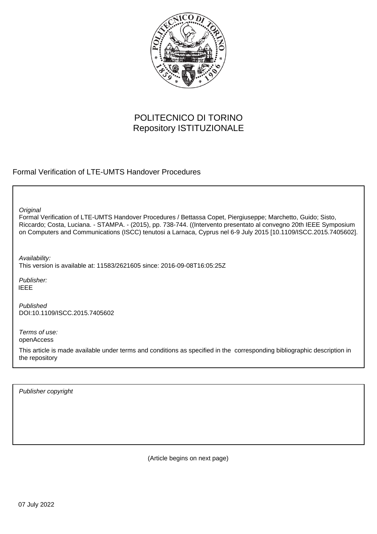

# POLITECNICO DI TORINO Repository ISTITUZIONALE

Formal Verification of LTE-UMTS Handover Procedures

**Original** 

Formal Verification of LTE-UMTS Handover Procedures / Bettassa Copet, Piergiuseppe; Marchetto, Guido; Sisto, Riccardo; Costa, Luciana. - STAMPA. - (2015), pp. 738-744. ((Intervento presentato al convegno 20th IEEE Symposium on Computers and Communications (ISCC) tenutosi a Larnaca, Cyprus nel 6-9 July 2015 [10.1109/ISCC.2015.7405602].

Availability: This version is available at: 11583/2621605 since: 2016-09-08T16:05:25Z

Publisher: IEEE

Published DOI:10.1109/ISCC.2015.7405602

Terms of use: openAccess

This article is made available under terms and conditions as specified in the corresponding bibliographic description in the repository

Publisher copyright

(Article begins on next page)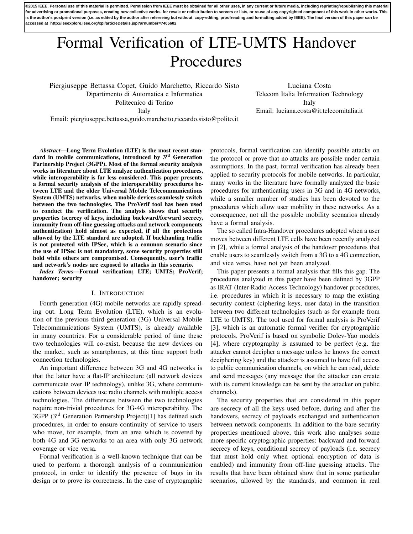©2015 IEEE. Personal use of this material is permitted. Permission from IEEE must be obtained for all other uses, in any current or future media, including reprinting/republishing this material **for advertising or promotional purposes, creating new collective works, for resale or redistribution to servers or lists, or reuse of any copyrighted component of this work in other works. This**  is the author's postprint version (i.e. as edited by the author after refereeing but without copy-editing, proofreading and formatting added by IEEE). The final version of this paper can be **accessed at http://ieeexplore.ieee.org/xpl/articleDetails.jsp?arnumber=7405602**

# Formal Verification of LTE-UMTS Handover Procedures

Piergiuseppe Bettassa Copet, Guido Marchetto, Riccardo Sisto

Dipartimento di Automatica e Informatica

Politecnico di Torino

Italy

Luciana Costa Telecom Italia Information Technology Italy Email: luciana.costa@it.telecomitalia.it

Email: piergiuseppe.bettassa,guido.marchetto,riccardo.sisto@polito.it

*Abstract*—Long Term Evolution (LTE) is the most recent standard in mobile communications, introduced by 3<sup>rd</sup> Generation Partnership Project (3GPP). Most of the formal security analysis works in literature about LTE analyze authentication procedures, while interoperability is far less considered. This paper presents a formal security analysis of the interoperability procedures between LTE and the older Universal Mobile Telecommunications System (UMTS) networks, when mobile devices seamlessly switch between the two technologies. The ProVerif tool has been used to conduct the verification. The analysis shows that security properties (secrecy of keys, including backward/forward secrecy, immunity from off-line guessing attacks and network components authentication) hold almost as expected, if all the protections allowed by the LTE standard are adopted. If backhauling traffic is not protected with IPSec, which is a common scenario since the use of IPSec is not mandatory, some security properties still hold while others are compromised. Consequently, user's traffic and network's nodes are exposed to attacks in this scenario.

*Index Terms*—Formal verification; LTE; UMTS; ProVerif; handover; security

#### I. INTRODUCTION

Fourth generation (4G) mobile networks are rapidly spreading out. Long Term Evolution (LTE), which is an evolution of the previous third generation (3G) Universal Mobile Telecommunications System (UMTS), is already available in many countries. For a considerable period of time these two technologies will co-exist, because the new devices on the market, such as smartphones, at this time support both connection technologies.

An important difference between 3G and 4G networks is that the latter have a flat-IP architecture (all network devices communicate over IP technology), unlike 3G, where communications between devices use radio channels with multiple access technologies. The differences between the two technologies require non-trivial procedures for 3G-4G interoperability. The 3GPP (3rd Generation Partnership Project)[1] has defined such procedures, in order to ensure continuity of service to users who move, for example, from an area which is covered by both 4G and 3G networks to an area with only 3G network coverage or vice versa.

Formal verification is a well-known technique that can be used to perform a thorough analysis of a communication protocol, in order to identify the presence of bugs in its design or to prove its correctness. In the case of cryptographic protocols, formal verification can identify possible attacks on the protocol or prove that no attacks are possible under certain assumptions. In the past, formal verification has already been applied to security protocols for mobile networks. In particular, many works in the literature have formally analyzed the basic procedures for authenticating users in 3G and in 4G networks, while a smaller number of studies has been devoted to the procedures which allow user mobility in these networks. As a consequence, not all the possible mobility scenarios already have a formal analysis.

The so called Intra-Handover procedures adopted when a user moves between different LTE cells have been recently analyzed in [2], while a formal analysis of the handover procedures that enable users to seamlessly switch from a 3G to a 4G connection, and vice versa, have not yet been analyzed.

This paper presents a formal analysis that fills this gap. The procedures analyzed in this paper have been defined by 3GPP as IRAT (Inter-Radio Access Technology) handover procedures, i.e. procedures in which it is necessary to map the existing security context (ciphering keys, user data) in the transition between two different technologies (such as for example from LTE to UMTS). The tool used for formal analysis is ProVerif [3], which is an automatic formal verifier for cryptographic protocols. ProVerif is based on symbolic Dolev-Yao models [4], where cryptography is assumed to be perfect (e.g. the attacker cannot decipher a message unless he knows the correct deciphering key) and the attacker is assumed to have full access to public communication channels, on which he can read, delete and send messages (any message that the attacker can create with its current knowledge can be sent by the attacker on public channels).

The security properties that are considered in this paper are secrecy of all the keys used before, during and after the handovers, secrecy of payloads exchanged and authentication between network components. In addition to the bare security properties mentioned above, this work also analyses some more specific cryptographic properties: backward and forward secrecy of keys, conditional secrecy of payloads (i.e. secrecy that must hold only when optional encryption of data is enabled) and immunity from off-line guessing attacks. The results that have been obtained show that in some particular scenarios, allowed by the standards, and common in real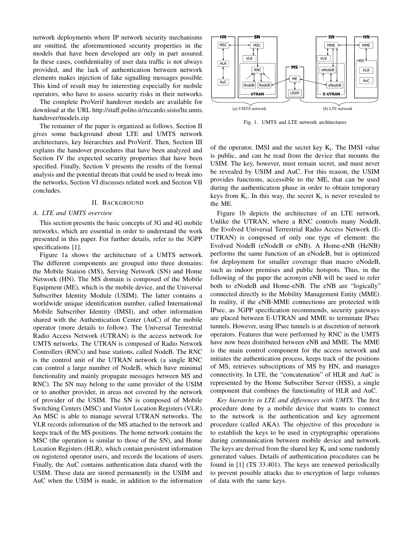network deployments where IP network security mechanisms are omitted, the aforementioned security properties in the models that have been developed are only in part assured. In these cases, confidentiality of user data traffic is not always provided, and the lack of authentication between network elements makes injection of fake signalling messages possible. This kind of result may be interesting especially for mobile operators, who have to assess security risks in their networks.

The complete ProVerif handover models are available for download at the URL http://staff.polito.it/riccardo.sisto/lte.umts. handover/models.zip

The remainer of the paper is organized as follows. Section II gives some background about LTE and UMTS network architectures, key hierarchies and ProVerif. Then, Section III explains the handover procedures that have been analyzed and Section IV the expected security properties that have been specified. Finally, Section V presents the results of the formal analysis and the potential threats that could be used to break into the networks, Section VI discusses related work and Section VII concludes.

#### II. BACKGROUND

#### *A. LTE and UMTS overview*

This section presents the basic concepts of 3G and 4G mobile networks, which are essential in order to understand the work presented in this paper. For further details, refer to the 3GPP specifications [1].

Figure 1a shows the architecture of a UMTS network. The different components are grouped into three domains: the Mobile Station (MS), Serving Network (SN) and Home Network (HN). The MS domain is composed of the Mobile Equipment (ME), which is the mobile device, and the Universal Subscriber Identity Module (USIM). The latter contains a worldwide unique identification number, called International Mobile Subscriber Identity (IMSI), and other information shared with the Authentication Center (AuC) of the mobile operator (more details to follow). The Universal Terrestrial Radio Access Network (UTRAN) is the access network for UMTS networks. The UTRAN is composed of Radio Network Controllers (RNCs) and base stations, called NodeB. The RNC is the control unit of the UTRAN network (a single RNC can control a large number of NodeB, which have minimal functionality and mainly propagate messages between MS and RNC). The SN may belong to the same provider of the USIM or to another provider, in areas not covered by the network of provider of the USIM. The SN is composed of Mobile Switching Centers (MSC) and Visitor Location Registers (VLR). An MSC is able to manage several UTRAN networks. The VLR records information of the MS attached to the network and keeps track of the MS positions. The home network contains the MSC (the operation is similar to those of the SN), and Home Location Registers (HLR), which contain persistent information on registered operator users, and records the locations of users. Finally, the AuC contains authentication data shared with the USIM. These data are stored permanently in the USIM and AuC when the USIM is made, in addition to the information



Fig. 1. UMTS and LTE network architectures

of the operator, IMSI and the secret key  $K_i$ . The IMSI value is public, and can be read from the device that mounts the USIM. The key, however, must remain secret, and must never be revealed by USIM and AuC. For this reason, the USIM provides functions, accessible to the ME, that can be used during the authentication phase in order to obtain temporary keys from  $K_i$ . In this way, the secret  $K_i$  is never revealed to the ME.

Figure 1b depicts the architecture of an LTE network. Unlike the UTRAN, where a RNC controls many NodeB, the Evolved Universal Terrestrial Radio Access Network (E-UTRAN) is composed of only one type of element: the Evolved NodeB (eNodeB or eNB). A Home-eNB (HeNB) performs the same function of an eNodeB, but is optimized for deployment for smaller coverage than macro eNodeB, such as indoor premises and public hotspots. Thus, in the following of the paper the acronym eNB will be used to refer both to eNodeB and Home-eNB. The eNB are "logically" connected directly to the Mobility Management Entity (MME). In reality, if the eNB-MME connections are protected with IPsec, as 3GPP specification recommends, security gateways are placed between E-UTRAN and MME to terminate IPsec tunnels. However, using IPsec tunnels is at discretion of network operators. Features that were performed by RNC in the UMTS have now been distributed between eNB and MME. The MME is the main control component for the access network and initiates the authentication process, keeps track of the positions of MS, retrieves subscriptions of MS by HN, and manages connectivity. In LTE, the "concatenation" of HLR and AuC is represented by the Home Subscriber Server (HSS), a single component that combines the functionality of HLR and AuC.

*Key hierarchy in LTE and differences with UMTS.* The first procedure done by a mobile device that wants to connect to the network is the authentication and key agreement procedure (called AKA). The objective of this procedure is to establish the keys to be used in cryptographic operations during communication between mobile device and network. The keys are derived from the shared key  $K_i$  and some randomly generated values. Details of authentication procedures can be found in [1] (TS 33.401). The keys are renewed periodically to prevent possible attacks due to encryption of large volumes of data with the same keys.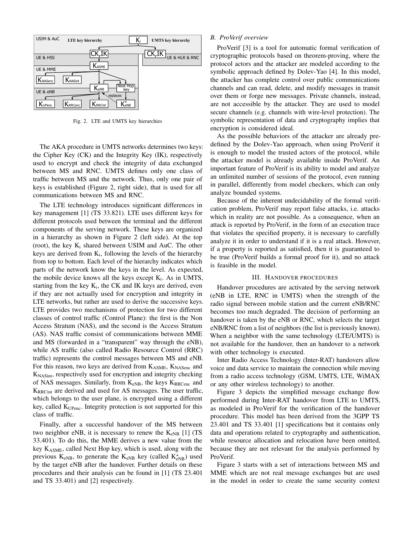

Fig. 2. LTE and UMTS key hierarchies

The AKA procedure in UMTS networks determines two keys: the Cipher Key (CK) and the Integrity Key (IK), respectively used to encrypt and check the integrity of data exchanged between MS and RNC. UMTS defines only one class of traffic between MS and the network. Thus, only one pair of keys is established (Figure 2, right side), that is used for all communications between MS and RNC.

The LTE technology introduces significant differences in key management [1] (TS 33.821). LTE uses different keys for different protocols used between the terminal and the different components of the serving network. These keys are organized in a hierarchy as shown in Figure 2 (left side). At the top (root), the key  $K_i$  shared between USIM and AuC. The other keys are derived from  $K_i$ , following the levels of the hierarchy from top to bottom. Each level of the hierarchy indicates which parts of the network know the keys in the level. As expected, the mobile device knows all the keys except  $K_i$ . As in UMTS, starting from the key  $K_i$ , the CK and IK keys are derived, even if they are not actually used for encryption and integrity in LTE networks, but rather are used to derive the successive keys. LTE provides two mechanisms of protection for two different classes of control traffic (Control Plane): the first is the Non Access Stratum (NAS), and the second is the Access Stratum (AS). NAS traffic consist of communications between MME and MS (forwarded in a "transparent" way through the eNB), while AS traffic (also called Radio Resource Control (RRC) traffic) represents the control messages between MS and eNB. For this reason, two keys are derived from KASME, KNASenc and K<sub>NASint</sub>, respectively used for encryption and integrity checking of NAS messages. Similarly, from  $K_{eNB}$ , the keys  $K_{RRCenc}$  and KRRCint are derived and used for AS messages. The user traffic, which belongs to the user plane, is encrypted using a different key, called K<sub>UPenc</sub>. Integrity protection is not supported for this class of traffic.

Finally, after a successful handover of the MS between two neighbor eNB, it is necessary to renew the  $K_{eNB}$  [1] (TS 33.401). To do this, the MME derives a new value from the key KASME, called Next Hop key, which is used, along with the previous  $K_{eNB}$ , to generate the  $K_{eNB}$  key (called  $K_{eNB}^{\star}$ ) used by the target eNB after the handover. Further details on these procedures and their analysis can be found in [1] (TS 23.401 and TS 33.401) and [2] respectively.

# *B. ProVerif overview*

ProVerif [3] is a tool for automatic formal verification of cryptographic protocols based on theorem-proving, where the protocol actors and the attacker are modeled according to the symbolic approach defined by Dolev-Yao [4]. In this model, the attacker has complete control over public communications channels and can read, delete, and modify messages in transit over them or forge new messages. Private channels, instead, are not accessible by the attacker. They are used to model secure channels (e.g. channels with wire-level protection). The symbolic representation of data and cryptography implies that encryption is considered ideal.

As the possible behaviors of the attacker are already predefined by the Dolev-Yao approach, when using ProVerif it is enough to model the trusted actors of the protocol, while the attacker model is already available inside ProVerif. An important feature of ProVerif is its ability to model and analyze an unlimited number of sessions of the protocol, even running in parallel, differently from model checkers, which can only analyze bounded systems.

Because of the inherent undecidability of the formal verification problem, ProVerif may report false attacks, i.e. attacks which in reality are not possible. As a consequence, when an attack is reported by ProVerif, in the form of an execution trace that violates the specified property, it is necessary to carefully analyze it in order to understand if it is a real attack. However, if a property is reported as satisfied, then it is guaranteed to be true (ProVerif builds a formal proof for it), and no attack is feasible in the model.

# III. HANDOVER PROCEDURES

Handover procedures are activated by the serving network (eNB in LTE, RNC in UMTS) when the strength of the radio signal between mobile station and the current eNB/RNC becomes too much degraded. The decision of performing an handover is taken by the eNB or RNC, which selects the target eNB/RNC from a list of neighbors (the list is previously known). When a neighbor with the same technology (LTE/UMTS) is not available for the handover, then an handover to a network with other technology is executed.

Inter Radio Access Technology (Inter-RAT) handovers allow voice and data service to maintain the connection while moving from a radio access technology (GSM, UMTS, LTE, WiMAX or any other wireless technology) to another.

Figure 3 depicts the simplified message exchange flow performed during Inter-RAT handover from LTE to UMTS, as modeled in ProVerif for the verification of the handover procedure. This model has been derived from the 3GPP TS 23.401 and TS 33.401 [1] specifications but it contains only data and operations related to cryptography and authentication, while resource allocation and relocation have been omitted, because they are not relevant for the analysis performed by ProVerif.

Figure 3 starts with a set of interactions between MS and MME which are not real message exchanges but are used in the model in order to create the same security context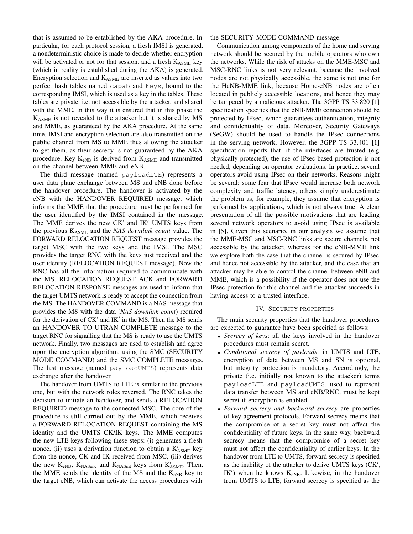that is assumed to be established by the AKA procedure. In particular, for each protocol session, a fresh IMSI is generated, a nondeterministic choice is made to decide whether encryption will be activated or not for that session, and a fresh  $K_{ASME}$  key (which in reality is established during the AKA) is generated. Encryption selection and KASME are inserted as values into two perfect hash tables named capab and keys, bound to the corresponding IMSI, which is used as a key in the tables. These tables are private, i.e. not accessible by the attacker, and shared with the MME. In this way it is ensured that in this phase the KASME is not revealed to the attacker but it is shared by MS and MME, as guaranteed by the AKA procedure. At the same time, IMSI and encryption selection are also transmitted on the public channel from MS to MME thus allowing the attacker to get them, as their secrecy is not guaranteed by the AKA procedure. Key  $K_{eNB}$  is derived from  $K_{ASME}$  and transmitted on the channel between MME and eNB.

The third message (named payloadLTE) represents a user data plane exchange between MS and eNB done before the handover procedure. The handover is activated by the eNB with the HANDOVER REQUIRED message, which informs the MME that the procedure must be performed for the user identified by the IMSI contained in the message. The MME derives the new CK' and IK' UMTS keys from the previous KASME and the *NAS downlink count* value. The FORWARD RELOCATION REQUEST message provides the target MSC with the two keys and the IMSI. The MSC provides the target RNC with the keys just received and the user identity (RELOCATION REQUEST message). Now the RNC has all the information required to communicate with the MS. RELOCATION REQUEST ACK and FORWARD RELOCATION RESPONSE messages are used to inform that the target UMTS network is ready to accept the connection from the MS. The HANDOVER COMMAND is a NAS message that provides the MS with the data (*NAS downlink count*) required for the derivation of  $CK'$  and  $IK'$  in the MS. Then the MS sends an HANDOVER TO UTRAN COMPLETE message to the target RNC for signalling that the MS is ready to use the UMTS network. Finally, two messages are used to establish and agree upon the encryption algorithm, using the SMC (SECURITY MODE COMMAND) and the SMC COMPLETE messages. The last message (named payloadUMTS) represents data exchange after the handover.

The handover from UMTS to LTE is similar to the previous one, but with the network roles reversed. The RNC takes the decision to initiate an handover, and sends a RELOCATION REQUIRED message to the connected MSC. The core of the procedure is still carried out by the MME, which receives a FORWARD RELOCATION REQUEST containing the MS identity and the UMTS CK/IK keys. The MME computes the new LTE keys following these steps: (i) generates a fresh nonce, (ii) uses a derivation function to obtain a  $K'_{ASME}$  key from the nonce, CK and IK received from MSC, (iii) derives the new  $K_{eNB}$ ,  $K_{NASenc}$  and  $K_{NASint}$  keys from  $K'_{ASME}$ . Then, the MME sends the identity of the MS and the  $K_{eNB}$  key to the target eNB, which can activate the access procedures with

the SECURITY MODE COMMAND message.

Communication among components of the home and serving network should be secured by the mobile operators who own the networks. While the risk of attacks on the MME-MSC and MSC-RNC links is not very relevant, because the involved nodes are not physically accessible, the same is not true for the HeNB-MME link, because Home-eNB nodes are often located in publicly accessible locations, and hence they may be tampered by a malicious attacker. The 3GPP TS 33.820 [1] specification specifies that the eNB-MME connection should be protected by IPsec, which guarantees authentication, integrity and confidentiality of data. Moreover, Security Gateways (SeGW) should be used to handle the IPsec connections in the serving network. However, the 3GPP TS 33.401 [1] specification reports that, if the interfaces are trusted (e.g. physically protected), the use of IPsec based protection is not needed, depending on operator evaluations. In practice, several operators avoid using IPsec on their networks. Reasons might be several: some fear that IPsec would increase both network complexity and traffic latency, others simply underestimate the problem as, for example, they assume that encryption is performed by applications, which is not always true. A clear presentation of all the possible motivations that are leading several network operators to avoid using IPsec is available in [5]. Given this scenario, in our analysis we assume that the MME-MSC and MSC-RNC links are secure channels, not accessible by the attacker, whereas for the eNB-MME link we explore both the case that the channel is secured by IPsec, and hence not accessible by the attacker, and the case that an attacker may be able to control the channel between eNB and MME, which is a possibility if the operator does not use the IPsec protection for this channel and the attacker succeeds in having access to a trusted interface.

#### IV. SECURITY PROPERTIES

The main security properties that the handover procedures are expected to guarantee have been specified as follows:

- *Secrecy of keys*: all the keys involved in the handover procedures must remain secret.
- *Conditional secrecy of payloads*: in UMTS and LTE, encryption of data between MS and SN is optional, but integrity protection is mandatory. Accordingly, the private (i.e. initially not known to the attacker) terms payloadLTE and payloadUMTS, used to represent data transfer between MS and eNB/RNC, must be kept secret if encryption is enabled.
- *Forward secrecy and backward secrecy* are properties of key-agreement protocols. Forward secrecy means that the compromise of a secret key must not affect the confidentiality of future keys. In the same way, backward secrecy means that the compromise of a secret key must not affect the confidentiality of earlier keys. In the handover from LTE to UMTS, forward secrecy is specified as the inability of the attacker to derive UMTS keys (CK',  $IK'$ ) when he knows  $K_{eNB}$ . Likewise, in the handover from UMTS to LTE, forward secrecy is specified as the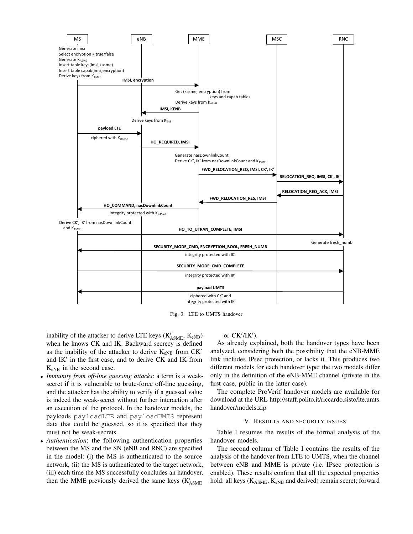

Fig. 3. LTE to UMTS handover

inability of the attacker to derive LTE keys  $(K'_{ASME}, K_{eNB})$ when he knows CK and IK. Backward secrecy is defined as the inability of the attacker to derive  $K_{eNB}$  from  $CK'$ and IK' in the first case, and to derive CK and IK from  $K_{eNB}$  in the second case.

- *Immunity from off-line guessing attacks*: a term is a weaksecret if it is vulnerable to brute-force off-line guessing, and the attacker has the ability to verify if a guessed value is indeed the weak-secret without further interaction after an execution of the protocol. In the handover models, the payloads payloadLTE and payloadUMTS represent data that could be guessed, so it is specified that they must not be weak-secrets.
- *Authentication*: the following authentication properties between the MS and the SN (eNB and RNC) are specified in the model: (i) the MS is authenticated to the source network, (ii) the MS is authenticated to the target network, (iii) each time the MS successfully concludes an handover, then the MME previously derived the same keys  $(K'_{ASME})$

or  $CK'/IK'$ ).

As already explained, both the handover types have been analyzed, considering both the possibility that the eNB-MME link includes IPsec protection, or lacks it. This produces two different models for each handover type: the two models differ only in the definition of the eNB-MME channel (private in the first case, public in the latter case).

The complete ProVerif handover models are available for download at the URL http://staff.polito.it/riccardo.sisto/lte.umts. handover/models.zip

# V. RESULTS AND SECURITY ISSUES

Table I resumes the results of the formal analysis of the handover models.

The second column of Table I contains the results of the analysis of the handover from LTE to UMTS, when the channel between eNB and MME is private (i.e. IPsec protection is enabled). These results confirm that all the expected properties hold: all keys (KASME, KeNB and derived) remain secret; forward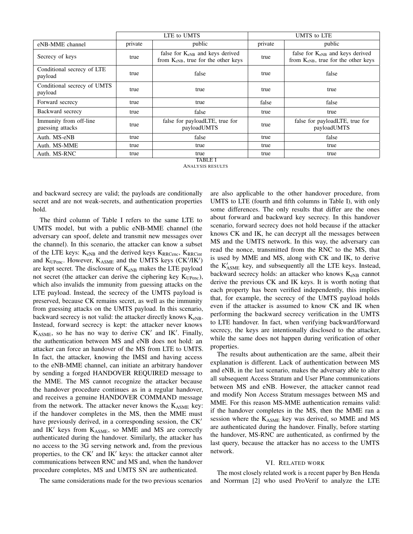|                                            | LTE to UMTS |                                                                                         | <b>UMTS</b> to LTE |                                                                                  |
|--------------------------------------------|-------------|-----------------------------------------------------------------------------------------|--------------------|----------------------------------------------------------------------------------|
| eNB-MME channel                            | private     | public                                                                                  | private            | public                                                                           |
| Secrecy of keys                            | true        | false for K <sub>eNB</sub> and keys derived<br>from $K_{eNB}$ , true for the other keys | true               | false for $K_{eNB}$ and keys derived<br>from $K_{eNB}$ , true for the other keys |
| Conditional secrecy of LTE<br>payload      | true        | false                                                                                   | true               | false                                                                            |
| Conditional secrecy of UMTS<br>payload     | true        | true                                                                                    | true               | true                                                                             |
| Forward secrecy                            | true        | true                                                                                    | false              | false                                                                            |
| Backward secrecy                           | true        | false                                                                                   | true               | true                                                                             |
| Immunity from off-line<br>guessing attacks | true        | false for payloadLTE, true for<br>payloadUMTS                                           | true               | false for payloadLTE, true for<br>payloadUMTS                                    |
| Auth. MS-eNB                               | true        | false                                                                                   | true               | false                                                                            |
| Auth. MS-MME                               | true        | true                                                                                    | true               | true                                                                             |
| Auth. MS-RNC                               | true        | true                                                                                    | true               | true                                                                             |
| TABLE I                                    |             |                                                                                         |                    |                                                                                  |

ANALYSIS RESULTS

and backward secrecy are valid; the payloads are conditionally secret and are not weak-secrets, and authentication properties hold.

The third column of Table I refers to the same LTE to UMTS model, but with a public eNB-MME channel (the adversary can spoof, delete and transmit new messages over the channel). In this scenario, the attacker can know a subset of the LTE keys:  $K_{eNB}$  and the derived keys  $K_{RRCenc}$ ,  $K_{RRCint}$ and  $K_{UPenc}$ . However,  $K_{ASME}$  and the UMTS keys (CK'/IK') are kept secret. The disclosure of  $K_{eNB}$  makes the LTE payload not secret (the attacker can derive the ciphering key  $K_{UP\text{enc}}$ ), which also invalids the immunity from guessing attacks on the LTE payload. Instead, the secrecy of the UMTS payload is preserved, because CK remains secret, as well as the immunity from guessing attacks on the UMTS payload. In this scenario, backward secrecy is not valid: the attacker directly knows  $K_{eNB}$ . Instead, forward secrecy is kept: the attacker never knows  $K_{ASME}$ , so he has no way to derive  $CK'$  and  $IK'$ . Finally, the authentication between MS and eNB does not hold: an attacker can force an handover of the MS from LTE to UMTS. In fact, the attacker, knowing the IMSI and having access to the eNB-MME channel, can initiate an arbitrary handover by sending a forged HANDOVER REQUIRED message to the MME. The MS cannot recognize the attacker because the handover procedure continues as in a regular handover, and receives a genuine HANDOVER COMMAND message from the network. The attacker never knows the  $K_{ASME}$  key: if the handover completes in the MS, then the MME must have previously derived, in a corresponding session, the  $CK'$ and IK' keys from KASME, so MME and MS are correctly authenticated during the handover. Similarly, the attacker has no access to the 3G serving network and, from the previous properties, to the  $CK'$  and  $IK'$  keys: the attacker cannot alter communications between RNC and MS and, when the handover procedure completes, MS and UMTS SN are authenticated.

The same considerations made for the two previous scenarios

are also applicable to the other handover procedure, from UMTS to LTE (fourth and fifth columns in Table I), with only some differences. The only results that differ are the ones about forward and backward key secrecy. In this handover scenario, forward secrecy does not hold because if the attacker knows CK and IK, he can decrypt all the messages between MS and the UMTS network. In this way, the adversary can read the nonce, transmitted from the RNC to the MS, that is used by MME and MS, along with CK and IK, to derive the  $K'_{ASME}$  key, and subsequently all the LTE keys. Instead, backward secrecy holds: an attacker who knows  $K_{eNB}$  cannot derive the previous CK and IK keys. It is worth noting that each property has been verified independently, this implies that, for example, the secrecy of the UMTS payload holds even if the attacker is assumed to know CK and IK when performing the backward secrecy verification in the UMTS to LTE handover. In fact, when verifying backward/forward secrecy, the keys are intentionally disclosed to the attacker, while the same does not happen during verification of other properties.

The results about authentication are the same, albeit their explanation is different. Lack of authentication between MS and eNB, in the last scenario, makes the adversary able to alter all subsequent Access Stratum and User Plane communications between MS and eNB. However, the attacker cannot read and modify Non Access Stratum messages between MS and MME. For this reason MS-MME authentication remains valid: if the handover completes in the MS, then the MME ran a session where the KASME key was derived, so MME and MS are authenticated during the handover. Finally, before starting the handover, MS-RNC are authenticated, as confirmed by the last query, because the attacker has no access to the UMTS network.

# VI. RELATED WORK

The most closely related work is a recent paper by Ben Henda and Norrman [2] who used ProVerif to analyze the LTE